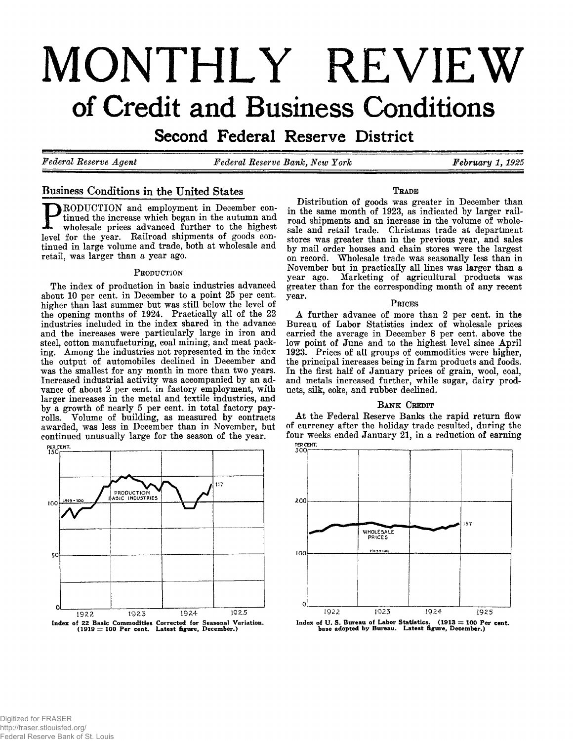# **MONTHLY REVIEW** of Credit and Business Conditions

S e condition de la reserve instrict

*Federal Reserve Agent Federal Reserve*

*Bank, New York February 1,1925*

#### **Business Conditions in the United States**

**RODUCTION** and employment in December con**tinued the increase which began in the autumn and wholesale prices advanced further to the highest** level for the year. Railroad shipments of goods con**tinued in large volume and trade, both at wholesale and retail, was larger than a year ago.**

#### **P roduction**

**The index of production in basic industries advanced about 10 per cent, in December to a point 25 per cent, higher than last summer but was still below the level of the opening months of 1924. Practically all of the 22 industries included in the index shared in the advance and the increases were particularly large in iron and steel, cotton manufacturing, coal mining, and meat packing. Among the industries not represented in the index the output of automobiles declined in December and was the smallest for any month in more than two years. Increased industrial activity was accompanied by an advance of about 2 per cent, in factory employment, with larger increases in the metal and textile industries, and by a growth of nearly 5 per cent, in total factory payrolls. Volume of building, as measured by contracts awarded, was less in December than in November, but continued unusually large for the season of the year.**



#### **T rade**

**Distribution of goods was greater in December than in the same month of 1923, as indicated by larger railroad shipments and an increase in the volume of wholesale and retail trade. Christmas trade at department stores was greater than in the previous year, and sales by mail order houses and chain stores were the largest on record. Wholesale trade was seasonally less than in November but in practically all lines was larger than a year ago. Marketing of agricultural products was greater than for the corresponding month of any recent** year.

#### PRICES

**A further advance of more than 2 per cent, in the Bureau of Labor Statistics index of wholesale prices carried the average in December 8 per cent, above the low point of June and to the highest level since April 1923. Prices of all groups of commodities were higher, the principal increases being in farm products and foods. In the first half of January prices of grain, wool, coal, and metals increased further, while sugar, dairy products, silk, coke, and rubber declined.**

#### **BANK CREDIT**

**At the Federal Reserve Banks the rapid return flow of currency after the holiday trade resulted, during the four weeks ended January 21, in a reduction of earning PERCENT.** 



Index of U. S. Bureau of Labor Statistics. (1913 = 100 Per cent, base adopted by Bureau. Latest figure, December.)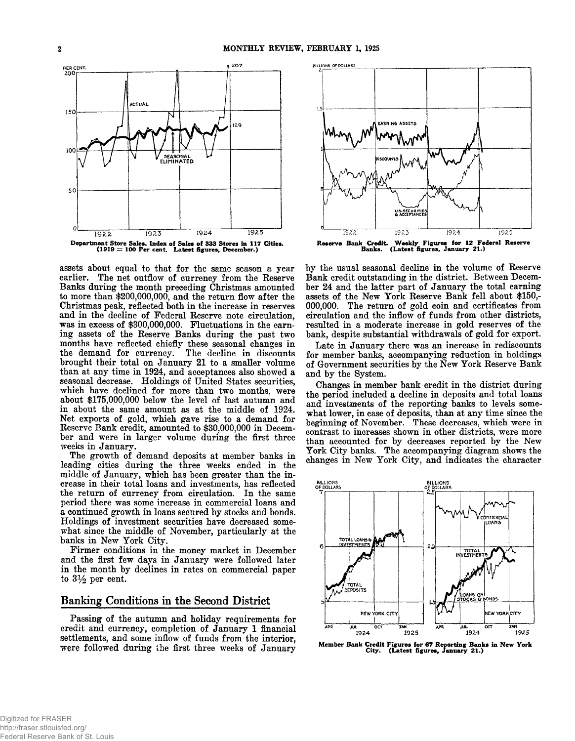

**assets about equal to that for the same season a year earlier. The net outflow of currency from the Reserve Banks during the month preceding Christmas amounted to more than \$200,000,000, and the return flow after the Christmas peak, reflected both in the increase in reserves and in the decline of Federal Reserve note circulation, was in excess of \$300,000,000. Fluctuations in the earning assets of the Reserve Banks during the past two months have reflected chiefly these seasonal changes in the demand for currency. The decline in discounts brought their total on January 21 to a smaller volume than at any time in 1924, and acceptances also showed a seasonal decrease. Holdings of United States securities, which have declined for more than two months, were about \$175,000,000 below the level of last autumn and in about the same amount as at the middle of 1924. Net exports of gold, which gave rise to a demand for Reserve Bank credit, amounted to \$30,000,000 in December and were in larger volume during the first three weeks in January.**

**The growth of demand deposits at member banks in leading cities during the three weeks ended in the middle of January, which has been greater than the increase in their total loans and investments, has reflected the return of currency from circulation. In the same period there was some increase in commercial loans and a continued growth in loans secured by stocks and bonds. Holdings of investment securities have decreased somewhat since the middle of November, particularly at the banks in New York City.**

**Firmer conditions in the money market in December and the first few days in January were followed later in the month by declines in rates on commercial paper to 31/2 per cent.**

#### **Banking Conditions in the Second District**

**Passing of the autumn and holiday requirements for credit and currency, completion of January 1 financial settlements, and some inflow of funds from the interior, were followed during the first three weeks of January**



**by the usual seasonal decline in the volume of Reserve Bank credit outstanding in the district. Between December 24 and the latter part of January the total earning assets of the New York Reserve Bank fell about \$150,- 000,000. The return of gold coin and certificates from circulation and the inflow of funds from other districts, resulted in a moderate increase in gold reserves of the bank, despite substantial withdrawals of gold for export.**

**Late in January there was an increase in rediscounts for member banks, accompanying reduction in holdings of Government securities by the New York Reserve Bank and by the System.**

**Changes in member bank credit in the district during the period included a decline in deposits and total loans and investments of the reporting banks to levels somewhat lower, in case of deposits, than at any time since the beginning of November. These decreases, which were in contrast to increases shown in other districts, were more than accounted for by decreases reported by the New York City banks. The accompanying diagram shows the changes in New York City, and indicates the character**



Member Bank Credit Figures for 67 Reporting Banks in New York City. (Latest figures, January 21.)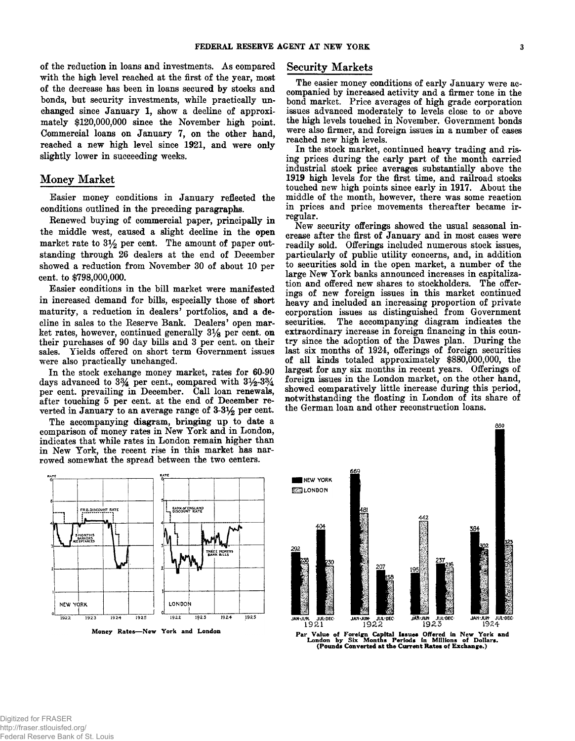**of the reduction in loans and investments. As compared with the high level reached at the first of the year, most of the decrease has been in loans secured by stocks and bonds, but security investments, while practically unchanged since January 1, show a decline of approximately \$120,000,000 since the November high point. Commercial loans on January 7, on the other hand, reached a new high level since 1921, and were only slightly lower in succeeding weeks.**

#### **Money Market**

**Easier money conditions in January reflected the conditions outlined in the preceding paragraphs.**

**Renewed buying of commercial paper, principally in the middle west, caused a slight decline in the open** market rate to  $3\frac{1}{2}$  per cent. The amount of paper out**standing through 26 dealers at the end of December showed a reduction from November 30 of about 10 per cent, to \$798,000,000.**

**Easier conditions in the bill market were manifested in increased demand for bills, especially those of short maturity, a reduction in dealers' portfolios, and a decline in sales to the Reserve Bank. Dealers' open market rates, however, continued generally 3% per cent, on their purchases of 90 day bills and 3 per cent, on their sales. Yields offered on short term Government issues were also practically unchanged.**

**In the stock exchange money market, rates for 60-90** days advanced to  $3\frac{3}{4}$  per cent., compared with  $3\frac{1}{2}\cdot3\frac{3}{4}$ **per cent, prevailing in December. Call loan renewals, after touching 5 per cent, at the end of December reverted in January to an average range of 3-3% per cent.**

**The accompanying diagram, bringing up to date a comparison of money rates in New York and in London, indicates that while rates in London remain higher than in New York, the recent rise in this market has narrowed somewhat the spread between the two centers.**



Money Rates-New York and London

#### **Security Markets**

**The easier money conditions of early January were accompanied by increased activity and a firmer tone in the bond market. Price averages of high grade corporation issues advanced moderately to levels close to or above the high levels touched in November. Government bonds were also firmer, and foreign issues in a number of cases reached new high levels.**

**In the stock market, continued heavy trading and rising prices during the early part of the month carried industrial stock price averages substantially above the 1919 high levels for the first time, and railroad stocks touched new high points since early in 1917. About the middle of the month, however, there was some reaction in prices and price movements thereafter became irregular.**

**New security offerings showed the usual seasonal increase after the first of January and in most cases were readily sold. Offerings included numerous stock issues, particularly of public utility concerns, and, in addition to securities sold in the open market, a number of the large New York banks announced increases in capitalization and offered new shares to stockholders. The offerings of new foreign issues in this market continued heavy and included an increasing proportion of private corporation issues as distinguished from Government securities. The accompanying diagram indicates the extraordinary increase in foreign financing in this country since the adoption of the Dawes plan. During the last six months of 1924, offerings of foreign securities of all kinds totaled approximately \$880,000,000, the largest for any six months in recent years. Offerings of foreign issues in the London market, on the other hand, showed comparatively little increase during this period, notwithstanding the floating in London of its share of the German loan and other reconstruction loans.**



Par Value of Foreign Capital Issues Offered in New York and London by Six Months Periods in Millions of Dollars. (Pounds Converted at the Current Rates of Exchange.)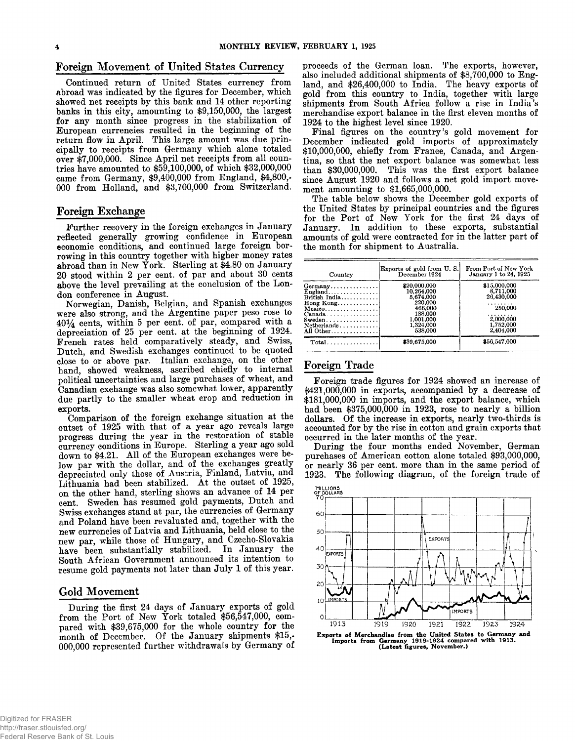Continued return of United States currency from abroad was indicated by the figures for December, which showed net receipts by this bank and 14 other reporting banks in this city, amounting to \$9,150,000, the largest for any month since progress in the stabilization of European currencies resulted in the beginning of the return flow in April. This large amount was due principally to receipts from Germany which alone totaled over \$7,000,000. Since A pril net receipts from all countries have amounted to \$59,100,000, of which \$32,000,000 came from Germany, \$9,400,000 from England, \$4,800,- 000 from Holland, and \$3,700,000 from Switzerland.

#### **Foreign Exchange**

Further recovery in the foreign exchanges in January reflected generally growing confidence in European economic conditions, and continued large foreign borrowing in this country together with higher money rates abroad than in New York. Sterling at \$4.80 on January 20 stood within 2 per cent, of par and about 30 cents above the level prevailing at the conclusion of the London conference in August.

Norwegian, Danish, Belgian, and Spanish exchanges were also strong, and the Argentine paper peso rose to  $40\frac{1}{4}$  cents, within 5 per cent. of par, compared with a depreciation of 25 per cent, at the beginning of 1924. French rates held comparatively steady, and Swiss, Dutch, and Swedish exchanges continued to be quoted close to or above par, Italian exchange, on the other hand, showed weakness, ascribed chiefly to internal political uncertainties and large purchases of wheat, and Canadian exchange was also somewhat lower, apparently due partly to the smaller wheat crop and reduction in exports.

Comparison of the foreign exchange situation at the outset of 1925 with that of a year ago reveals large progress during the year in the restoration of stable currency conditions in Europe. Sterling a year ago sold down to \$4.21. All of the European exchanges were below par with the dollar, and of the exchanges greatly depreciated only those of Austria, Finland, Latvia, and Lithuania had been stabilized. At the outset of 1925, on the other hand, sterling shows an advance of 14 per cent. Sweden has resumed gold payments, Dutch and Swiss exchanges stand at par, the currencies of Germany and Poland have been revaluated and, together with the new currencies of Latvia and Lithuania, held close to the new par, while those of Hungary, and Czecho-Slovakia have been substantially stabilized. In January the South African Government announced its intention to resume gold payments not later than July 1 of this year.

#### Gold Movement

During the first 24 days of January exports of gold from the Port of New York totaled \$56,547,000, compared with \$39,675,000 for the whole country for the month of December. Of the January shipments \$15,- 000,000 represented further withdrawals by Germany of

Foreign Movement of United States Currency proceeds of the German loan. The exports, however, also included additional shipments of \$8,700,000 to England, and \$26,400,000 to India. The heavy exports of gold from this country to India, together with large shipments from South A frica follow a rise in India's merchandise export balance in the first eleven months of 1924 to the highest level since 1920.

Final figures on the country's gold movement for December indicated gold imports of approximately \$10,000,000, chiefly from France, Canada, and Argentina, so that the net export balance was somewhat less than \$30,000,000. This was the first export balance since August 1920 and follows a net gold import movement amounting to \$1,665,000,000.

The table below shows the December gold exports of the United States by principal countries and the figures for the Port of New York for the first 24 days of January. In addition to these exports, substantial amounts of gold were contracted for in the latter part of the month for shipment to Australia.

| Country                                                                                                                                                                                                                        | Exports of gold from U.S.<br>December 1924                                                                    | From Port of New York<br>January 1 to 24, 1925                                                      |
|--------------------------------------------------------------------------------------------------------------------------------------------------------------------------------------------------------------------------------|---------------------------------------------------------------------------------------------------------------|-----------------------------------------------------------------------------------------------------|
| Germany<br>$Enzland \ldots \ldots \ldots \ldots$<br>British India<br>$\text{Homg Kong} \ldots \ldots \ldots \ldots$<br>$Mexico \ldots \ldots$<br>$Canada \ldots \ldots \ldots \ldots$<br>$S$ weden<br>Netherlands<br>All Other | \$20,000.000<br>10.264.000<br>5,674,000<br>220,000<br>466.000<br>188.000<br>1.001.000<br>1,324,000<br>538,000 | \$15,000,000<br>8,711,000<br>26.430,000<br>.<br>250,000<br>.<br>2,000,000<br>1,752,000<br>2.404.000 |
| $Total$                                                                                                                                                                                                                        | \$39,675,000                                                                                                  | \$56,547,000                                                                                        |

#### **Foreign Trade**

Foreign trade figures for 1924 showed an increase of \$421,000,000 in exports, accompanied by a decrease of \$181,000,000 in imports, and the export balance, which had been \$375,000,000 in 1923, rose to nearly a billion dollars. Of the increase in exports, nearly two-thirds is accounted for by the rise in cotton and grain exports that occurred in the later months of the year.

During the four months ended November, German purchases of American cotton alone totaled \$93,000,000, or nearly 36 per cent, more than in the same period of 1923. The following diagram, of the foreign trade of



Exports of Merchandise from the United States to Germany and Imports from Germany **1913.**<br>Imports from Germany 1919-1924 compared with 1913.<br>Catest figures, November.)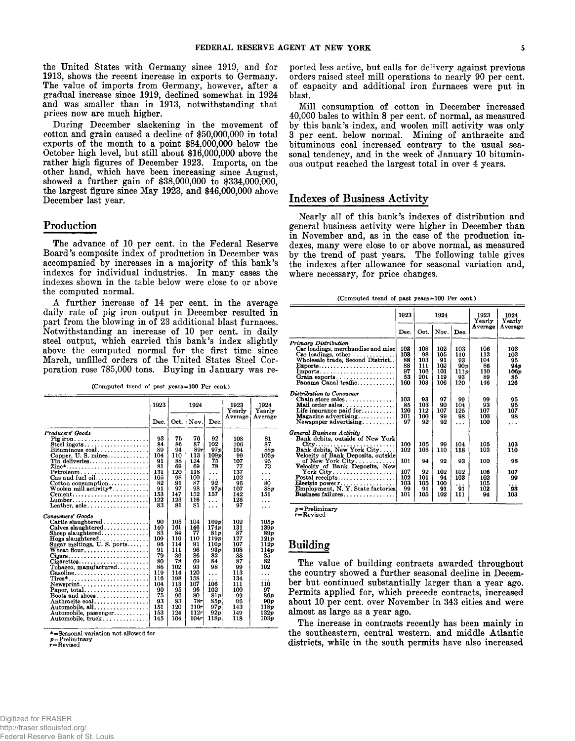the United States with Germany since 1919, and for 1913, shows the recent increase in exports to Germany. The value of imports from Germany, however, after a gradual increase since 1919, declined somewhat in 1924 and was smaller than in 1913, notwithstanding that prices now are much higher.

During December slackening in the movement of cotton and grain caused a decline of \$50,000,000 in total exports of the month to a point \$84,000,000 below the October high level, but still about \$16,000,000 above the rather high figures of December 1923. Imports, on the other hand, which have been increasing since August, showed a further gain of \$38,000,000 to \$334,000,000, the largest figure since May 1923, and \$46,000,000 above December last year.

#### **Production**

The advance of 10 per cent, in the Federal Reserve Board's composite index of production in December was accompanied by increases in a majority of this bank's indexes for individual industries. In many cases the indexes shown in the table below were close to or above the computed normal.

A further increase of 14 per cent, in the average daily rate of pig iron output in December resulted in part from the blowing in of 23 additional blast furnaces. Notwithstanding an increase of 10 per cent, in daily steel output, which carried this bank's index slightly above the computed normal for the first time since March, unfilled orders of the United States Steel Corporation rose 785,000 tons. Buying in January was re-

(Computed trend of past years=100 Per cent.)

|                                                                   | 1923 |      | 1924 |                  | 1923<br>Yearly | 1924<br>Yearly |
|-------------------------------------------------------------------|------|------|------|------------------|----------------|----------------|
|                                                                   | Dec. | Oct. | Nov. | Dec.             | Average        | Average        |
| Producers' Goods                                                  |      |      |      |                  |                |                |
|                                                                   | 93   | 75   | 76   | 92               | 108            | 81             |
| Steel ingots                                                      | 84   | 86   | 87   | 102              | 106            | 87             |
| Bituminous coal                                                   | 89   | 94   | 89r  | 97p              | 104            | 88p            |
| Copper, U.S. mines                                                | 104  | 110  | 113  | 109p             | 99             | 105p           |
| Tin deliveries                                                    | 91   | 88   | 124  | 75               | 107            | 95             |
| Zine*                                                             | 81   | 69   | 69   | 78               | 77             | 73             |
| $Petroleum \ldots \ldots \ldots \ldots \ldots \ldots \ldots$      | 131  | 120  | 118  | .                | 137            | .              |
| Gas and fuel oil                                                  | 105  | 98   | 100  | .                | 102            | .              |
| $Cotton$ consumption                                              | 82   | 91   | 87   | 92               | 96             | 80             |
| Woolen mill activity*                                             | 91   | 97   | 98   | 97 p             | 107            | 88p            |
| Cement                                                            | 153  | 147  | 152  | 157              | 142            | 151            |
| $Lumber. \ldots \ldots \ldots \ldots \ldots \ldots \ldots$        | 122  | 123  | 116  | .                | 125            | .              |
| Leather, $\text{sole} \ldots \ldots \ldots \ldots \ldots$         | 83   | 81   | 81   | .                | 97             | .              |
| Consumers' Goods                                                  |      |      |      |                  |                |                |
| Cattle slaughtered                                                | 90   | 105  | 104  | 109p             | 102            | 105p           |
| Calves slaughtered                                                | 140  | 161  | 146  | 174 <sub>p</sub> | 131            | 139p           |
| Sheep slaughtered                                                 | 83   | 84   | 77   | 81p              | 87             | 89 p           |
| $\textbf{Hogs}$ slaughtered                                       | 109  | 110  | 110  | 119p             | 127            | 121p           |
| Sugar meltings, U.S. ports                                        | 96   | 114  | 91   | 110p             | 107            | 112p           |
|                                                                   | 91   | 111  | 96   | 93p              | 108            | 114 v          |
| $Cigars \ldots \ldots \ldots \ldots \ldots \ldots \ldots \ldots$  | 79   | 86   | 86   | 82               | 88             | 85             |
| $Cigare ttes. \ldots \ldots \ldots \ldots \ldots \ldots$          | 80   | 78   | 69   | 84               | 87             | 82             |
| $To baseo, manufactured \ldots$                                   | 86   | 102  | 93   | 98               | 99             | 102            |
| $Gasoline \ldots \ldots \ldots \ldots \ldots$                     | 119  | 114  | 120  | $\cdots$         | 113            | .              |
| $Tires^* \ldots \ldots \ldots \ldots \ldots \ldots \ldots \ldots$ | 116  | 198  | 158  | .                | 134            | .              |
| $New$ sprint                                                      | 104  | 113  | 107  | 106              | 111            | 110            |
|                                                                   | 90   | 95   | 96   | 102              | 100            | 97             |
| Boots and shoes                                                   | 75   | 96   | 80   | 81p              | 99             | 86 p           |
| Anthracite coal                                                   | 93   | 83   | 78r  | 85p              | 96             | 90p            |
| Automobile, all                                                   | 151  | 120  | 110r | 97 p             | 143            | 118p           |
| Automobile, passenger                                             | 153  | 124  | 112r | 92p              | 149            | 122p           |
| Automobile, truck                                                 | 145  | 104  | 104r | 118p             | 118            | 103p           |

**\*= Seasonal variation not allowed for**

**p=Preliminary r=Revised**

ported less active, but calls for delivery against previous orders raised steel mill operations to nearly 90 per cent, of capacity and additional iron furnaces were put in blast.

Mill consumption of cotton in December increased 40,000 bales to within 8 per cent, of normal, as measured by this bank's index, and woolen mill activity was only 3 per cent, below normal. Mining of anthracite and bituminous coal increased contrary to the usual seasonal tendency, and in the week of January 10 bituminous output reached the largest total in over 4 years.

#### **Indexes of Business Activity**

Nearly all of this bank's indexes of distribution and general business activity were higher in December than in November and, as in the case of the production indexes, many were close to or above normal, as measured by the trend of past years. The following table gives the indexes after allowance for seasonal variation and, where necessary, for price changes.

(Computed trend of past years=100 Per cent.)

|                                                                                                                                                                                                                                                                                                                                                                               | 1923                                                | 1924                                              |                                                  |                                                  | 1923<br>Yearly                                      | 1924<br>Yearlv                                  |
|-------------------------------------------------------------------------------------------------------------------------------------------------------------------------------------------------------------------------------------------------------------------------------------------------------------------------------------------------------------------------------|-----------------------------------------------------|---------------------------------------------------|--------------------------------------------------|--------------------------------------------------|-----------------------------------------------------|-------------------------------------------------|
|                                                                                                                                                                                                                                                                                                                                                                               | Dec.                                                | Oet.                                              | Nov.                                             | Dec.                                             | Average                                             | Average                                         |
| Primary Distribution<br>Car loadings, merchandise and misc<br>Car loadings, other<br>Wholesale trade, Second District<br>Exports<br>Grain exports<br>Panama Canal traffic                                                                                                                                                                                                     | 103<br>103<br>88<br>88<br>97<br>53<br>160           | 108<br>98<br>103<br>111<br>106<br>201<br>103      | 102<br>105<br>91<br>102<br>101<br>119<br>106     | 103<br>110<br>93<br>90p<br>111p<br>93<br>120     | 106<br>113<br>104<br>86<br>110<br>89<br>146         | 103<br>103<br>95<br>94 D<br>106p<br>86<br>126   |
| Distribution to Consumer<br>Chain store sales<br>Mail order sales<br>Life insurance paid for $\dots \dots$<br><b>Magazine advertising</b><br>Newspaper $adverting$                                                                                                                                                                                                            | 103<br>85<br>120<br>101<br>97                       | 93<br>103<br>112<br>100<br>92                     | 97<br>90<br>107<br>99<br>92                      | 99<br>104<br>125<br>98<br>.                      | 99<br>93<br>107<br>100<br>100                       | 95<br>95<br>107<br>98<br>.                      |
| General Business Activity<br>Bank debits, outside of New York<br>City<br>Bank debits, New York City<br>Velocity of Bank Deposits, outside<br>of New York City<br>Velocity of Bank Deposits, New<br>York $\tt City$<br>$\textbf{Postal}\text{ receives}\dots\dots\dots\dots\dots\dots$<br>Electric power $r_{\ldots}$<br>Employment, N.Y. State factories<br>Business failures | 100<br>102<br>101<br>107<br>102<br>103<br>99<br>101 | 105<br>105<br>94<br>92<br>101<br>105<br>91<br>105 | 99<br>110<br>92<br>102<br>94<br>100<br>91<br>102 | 104<br>118<br>93<br>102<br>103<br>.<br>91<br>111 | 105<br>103<br>100<br>106<br>102<br>105<br>102<br>94 | 103<br>110<br>98<br>107<br>99<br>.<br>93<br>103 |

p=Preliminary *r=*Revised

### **Building**

The value of building contracts awarded throughout the country showed a further seasonal decline in December but continued substantially larger than a year ago. Permits applied for, which precede contracts, increased about 10 per cent, over November in 343 cities and were almost as large as a year ago.

The increase in contracts recently has been mainly in the southeastern, central western, and middle Atlantic districts, while in the south permits have also increased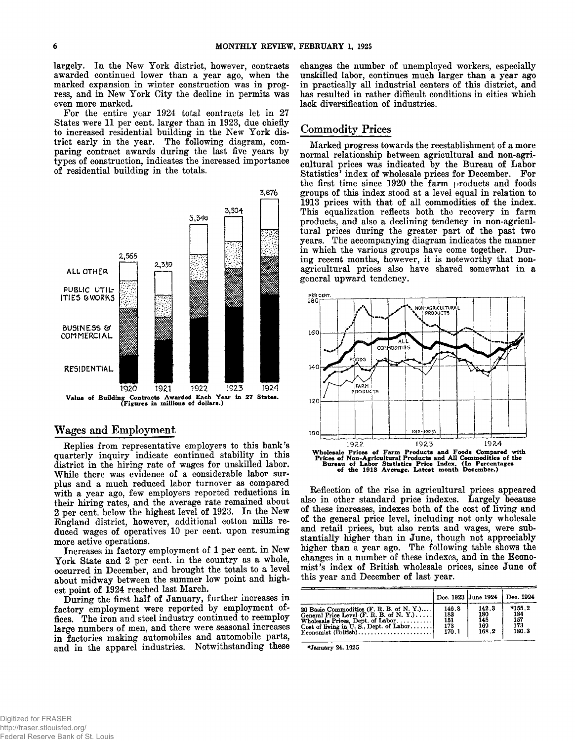largely. In the New York district, however, contracts awarded continued lower than a year ago, when the marked expansion in winter construction was in progress, and in New York City the decline in permits was even more marked.

For the entire year 1924 total contracts let in 27 States were 11 per cent, larger than in 1923, due chiefly to increased residential building in the New York district early in the year. The following diagram, comparing contract awards during the last five years by types of construction, indicates the increased importance of residential building in the totals.



#### **Wages and Employment**

Replies from representative employers to this bank's quarterly inquiry indicate continued stability in this district in the hiring rate of wages for unskilled labor. While there was evidence of a considerable labor surplus and a much reduced labor turnover as compared with a year ago, few employers reported reductions in their hiring rates, and the average rate remained about 2 per cent, below the highest level of 1923. In the New England district, however, additional cotton mills reduced wages of operatives 10 per cent, upon resuming more active operations.

Increases in factory employment of 1 per cent, in New York State and 2 per cent, in the country as a whole, occurred in December, and brought the totals to a level about midway between the summer low point and highest point of 1924 reached last March.

During the first half of January, further increases in factory employment were reported by employment offices. The iron and steel industry continued to reemploy large numbers of men, and there were seasonal increases in factories making automobiles and automobile parts, and in the apparel industries. Notwithstanding these

changes the number of unemployed workers, especially unskilled labor, continues much larger than a year ago in practically all industrial centers of this district, and has resulted in rather difficult conditions in cities which lack diversification of industries.

#### **Commodity Prices**

Marked progress towards the reestablishment of a more normal relationship between agricultural and non-agricultural prices was indicated by the Bureau of Labor Statistics' index of wholesale prices for December. For the first time since 1920 the farm products and foods groups of this index stood at a level equal in relation to 1913 prices with that of all commodities of the index. This equalization reflects both the recovery in farm products, and also a declining tendency in non-agricultural prices during the greater part of the past two years. The accompanying diagram indicates the manner in which the various groups have come together. During recent months, however, it is noteworthy that nonagricultural prices also have shared somewhat in a general upward tendency.



Reflection of the rise in agricultural prices appeared also in other standard price indexes. Largely because of these increases, indexes both of the cost of living and of the general price level, including not only wholesale and retail prices, but also rents and wages, were substantially higher than in June, though not appreciably higher than a year ago. The following table shows the changes in a number of these indexes, and in the Economist's index of British wholesale prices, since June of this year and December of last year.

|                                                     |       | Dec. 1923 June 1924 |        |  |  |  |
|-----------------------------------------------------|-------|---------------------|--------|--|--|--|
| 20 Basic Commodities (F. R. B. of N. Y.)            | 146.8 | 142.3               | *155.2 |  |  |  |
| General Price Level $(F. R. B. of N. Y. ) \ldots$ . | 183   | 180                 | 184    |  |  |  |
| Wholesale Prices, Dept. of Labor                    | 151   | 145                 | 157    |  |  |  |
| Cost of living in U.S., Dept. of Labor              | 173   | 169                 | 173    |  |  |  |
|                                                     | 170.1 | 168.2               | 180.3  |  |  |  |

♦January 24,1925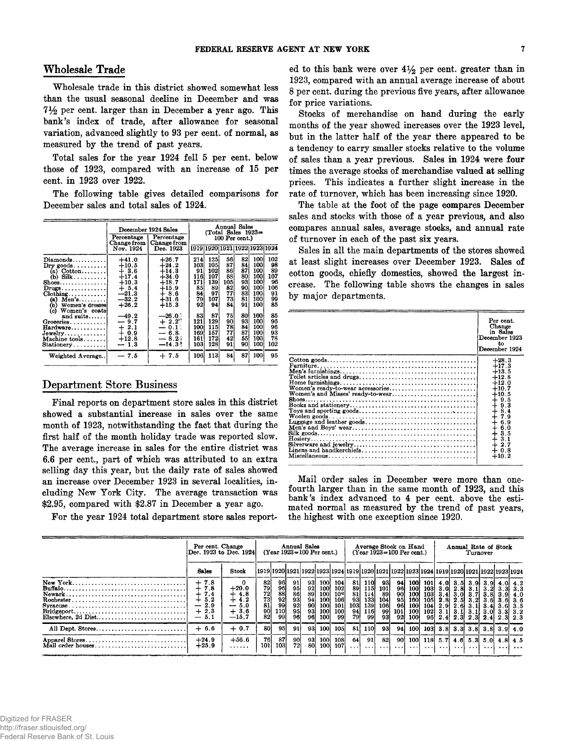#### Wholesale Trade

Wholesale trade in this district showed somewhat less than the usual seasonal decline in December and was 7*Y2* per cent, larger than in December a year ago. This bank's index of trade, after allowance for seasonal variation, advanced slightly to 93 per cent, of normal, as measured by the trend of past years.

Total sales for the year 1924 fell 5 per cent, below those of 1923, compared with an increase of 15 per cent, in 1923 over 1922.

The following table gives detailed comparisons for December sales and total sales of 1924.

|                                                                                                                                                                                                                                                                           | December 1924 Sales<br>Percentage                                                             | Annual Sales<br>(Total Sales 1923⇒<br>Percentage<br>100 Per cent.)                             |                                                        |                                                           |                                                     |                                                     |                                                                |                                                       |  |  |  |  |
|---------------------------------------------------------------------------------------------------------------------------------------------------------------------------------------------------------------------------------------------------------------------------|-----------------------------------------------------------------------------------------------|------------------------------------------------------------------------------------------------|--------------------------------------------------------|-----------------------------------------------------------|-----------------------------------------------------|-----------------------------------------------------|----------------------------------------------------------------|-------------------------------------------------------|--|--|--|--|
|                                                                                                                                                                                                                                                                           | Change from  <br>Nov. 1924                                                                    | Change from<br>Dec. 1923                                                                       |                                                        |                                                           |                                                     | 1919 1920 1921 1922 1923 1924                       |                                                                |                                                       |  |  |  |  |
| $Diamonds \ldots \ldots \ldots$<br>$\mathbf{Dry}$ goods. $\dots\dots\dots$<br>(a) $\text{Cottom} \dots \dots$<br>$(b)$ Silk<br>$\texttt{Shoes} \dots \dots \dots \dots \dots$<br>$Drugs \ldots \ldots \ldots \ldots$<br>$C$ lothing<br>$(a)$ Men's<br>(b) Women's dresses | $+41.0$<br>$+10.5$<br>$+3.6$<br>$+17.4$<br>$+10.3$<br>$+5.4$<br>$-21.3$<br>$-32.2$<br>$+26.2$ | $+26.7$<br>$+24.2$<br>$+14.3$<br>$+34.0$<br>$+18.7$<br>$+15.9$<br>$+8.6$<br>$+31.6$<br>$+15.3$ | 214<br>103<br>91<br>116<br>171<br>85<br>84<br>79<br>92 | 125i<br>105<br>102<br>107<br>139<br>89<br>97<br>107<br>94 | 56<br>87<br>86<br>88<br>105<br>82<br>77<br>73<br>84 | 82<br>84.<br>87<br>80<br>93<br>90<br>83<br>81<br>91 | 100<br>100<br>100<br>100<br>100<br>$100-$<br>100<br>100<br>100 | 102<br>98<br>89<br>107<br>96<br>106<br>91<br>99<br>85 |  |  |  |  |
| Women's coats<br>(c)<br>and suits<br>Groceries<br>Hardware<br>Jewelry<br>Machine tools<br>Stationery                                                                                                                                                                      | $-49.2$<br>$-9.7$<br>$+2.1$<br>$+0.9$<br>$+12.8$<br>$-1.3$                                    | $-26.0$ :<br>$+2.2^{\circ}$<br>$-0.1$ .<br>$-6.8$<br>$-8.24$<br>$-14.33$                       | 83<br>121<br>100<br>169<br>161<br>103                  | 87<br>129<br>115<br>157<br>172<br>128                     | 75<br>90<br>78<br>77<br>42<br>91                    | 80<br>93<br>84<br>87<br>55<br>90                    | 100<br>100<br>100<br>100<br>100<br>100                         | 85<br>96<br>96<br>93<br>78<br>102                     |  |  |  |  |
| Weighted Average                                                                                                                                                                                                                                                          | $-7.5$                                                                                        | $+7.5$                                                                                         | 106                                                    | 113                                                       | 84                                                  | 87                                                  | 100                                                            | 95                                                    |  |  |  |  |

### **Department Store Business**

Final reports on department store sales in this district showed a substantial increase in sales over the same month of 1923, notwithstanding the fact that during the first half of the month holiday trade was reported slow. The average increase in sales for the entire district was 6.6 per cent., part of which was attributed to an extra selling day this year, but the daily rate of sales showed an increase over December 1923 in several localities, including New York City. The average transaction was \$2.95, compared with \$2.87 in December a year ago.

For the year 1924 total department store sales report-

ed to this bank were over  $4\frac{1}{2}$  per cent. greater than in 1923, compared with an annual average increase of about 8 per cent, during the previous five years, after allowance for price variations.

Stocks of merchandise on hand during the early months of the year showed increases over the 1923 level, but in the latter half of the year there appeared to be a tendency to carry smaller stocks relative to the volume of sales than a year previous. Sales in 1924 were four times the average stocks of merchandise valued at selling prices. This indicates a further slight increase in the rate of turnover, which has been increasing since 1920.

The table at the foot of the page compares December sales and stocks with those of a year previous, and also compares annual sales, average stocks, and annual rate of turnover in each of the past six years.

Sales in all the main departments of the stores showed at least slight increases over December 1923. Sales of cotton goods, chiefly domestics, showed the largest increase. The following table shows the changes in sales by major departments.

| Per cent.<br>Change<br>in Sales<br>December 1923<br>tο<br>December 1924 |
|-------------------------------------------------------------------------|
| $+28.3$                                                                 |
| $+17.3$                                                                 |
| $+13.5$                                                                 |
| $+12.8$                                                                 |
| $+12.0$                                                                 |
| $+10.7$                                                                 |
| $+10.5$                                                                 |
| $+9.5$                                                                  |
| $+9.3$                                                                  |
| $+8.4$                                                                  |
| 7.9                                                                     |
| 6.9                                                                     |
| 6.0                                                                     |
|                                                                         |
| $+3.5$                                                                  |
| $+2.7$                                                                  |
| $+0.8$                                                                  |
| $+10.2$                                                                 |
|                                                                         |

Mail order sales in December were more than onefourth larger than in the same month of 1923, and this bank's index advanced to 4 per cent, above the estimated normal as measured by the trend of past years, the highest with one exception since 1920.

|                                     | Per cent. Change<br>Dec. 1923 to Dec. 1924                    |                                                                                     |                                                                 | Annual Sales<br>(Year 1923=100 Per cent.)                                |                             |                                     |                                                          | Average Stock on Hand<br>$(Year 1923 = 100$ Per cent.) |                                                  |                                                        |                                                           |                                                             |                                                                                              | Annual Rate of Stock<br>Turnover                    |                                                          |                         |                                  |                                                         |  |                                                                                                           |
|-------------------------------------|---------------------------------------------------------------|-------------------------------------------------------------------------------------|-----------------------------------------------------------------|--------------------------------------------------------------------------|-----------------------------|-------------------------------------|----------------------------------------------------------|--------------------------------------------------------|--------------------------------------------------|--------------------------------------------------------|-----------------------------------------------------------|-------------------------------------------------------------|----------------------------------------------------------------------------------------------|-----------------------------------------------------|----------------------------------------------------------|-------------------------|----------------------------------|---------------------------------------------------------|--|-----------------------------------------------------------------------------------------------------------|
|                                     | Sales                                                         | Stock                                                                               |                                                                 |                                                                          |                             |                                     |                                                          |                                                        |                                                  |                                                        |                                                           |                                                             |                                                                                              |                                                     |                                                          |                         |                                  |                                                         |  | 1919 1920 1921 1922 1923 1924 1919 1920 1921 1922 1923 1924 1919 1920 1921 1922 1923 1924                 |
| $Syracuse$<br>Elsewhere. 2d Dist    | 7.8<br>∸<br>7.8<br>+<br>7.4<br>5.2<br>2.9<br>$+2.3$<br>$-5.1$ | $+20.0$<br>$+4.8$<br>$+4.2$<br>5.0<br>$\overline{\phantom{0}}$<br>$+3.6$<br>$-15.7$ | $\begin{array}{c} 82 \\ 79 \\ 72 \end{array}$<br>73<br>90<br>82 | $\frac{96}{96}$<br>$\frac{88}{92}$<br>$\frac{92}{99}$<br>$\frac{10}{99}$ | 91<br>98<br>983<br>98<br>98 | -931<br>92<br>89<br>90<br>93<br>961 | 100 l<br>100l<br><b>100</b><br>100<br>100<br>100<br>100l | 104<br>102<br>109<br>106<br>101<br>100<br>99           | 81.<br>89<br>93 <sup>1</sup><br>103<br>94<br>79. | 110I<br>1151<br>114<br>133<br>1391<br><b>116</b><br>99 | -931<br><b>101</b><br>89<br>104<br>106<br>$\frac{99}{93}$ | 94<br>$\frac{96}{90}$<br>95<br>96<br>101<br>92 <sub>1</sub> | 1001<br>100<br>100 <sup>1</sup><br>100 <sup>1</sup><br><b>100</b><br>100<br>100 <sup>1</sup> | <b>1011</b><br>103<br>1051<br>104 l<br>102l<br>961. | 4.OI<br>$103$ 3.0<br>3.41<br>2.81<br>2.91<br>3.1<br>2.4' | 2.61<br>3.1             | 2.813.1<br>3.013.71<br>2.51 3.21 | 3.21<br>3.8I<br><b>3.6</b><br>3.OI<br>$2.3$ $2.3$ $2.4$ |  | $3.51$ $3.91$ $3.91$ $4.01$ $4.2$<br>3.31, 3.3<br>$3.91$ 4.0<br>.3.6L3.6<br>3.613.5<br>3.313.2<br>2.3 2.3 |
| All Dept. Stores                    | $+6.6$                                                        | $+0.7$                                                                              | 80                                                              | 95                                                                       | 91                          | -931                                | 100                                                      | 105                                                    | -81                                              | <b>110</b>                                             | 931                                                       | 94                                                          | 100 l                                                                                        |                                                     |                                                          |                         |                                  |                                                         |  | $103$ 3.8 3.3 3.8 3.8 3.9 4.0                                                                             |
| Apparel Stores<br>Mail crder houses | $+24.9$<br>$+25.9$                                            | $+56.6$<br>.                                                                        | 76<br>101                                                       | -87)<br>103                                                              | $\frac{90}{72}$             | 931<br>80                           | 100<br>100l                                              | 108<br>107                                             | 64                                               | 91                                                     | 821                                                       | -901                                                        | 100 <sup>1</sup>                                                                             |                                                     |                                                          | 118 $5.7$ 4.6 $5.3$ 5.0 |                                  |                                                         |  | 4.81, 4.5<br>$\cdots$                                                                                     |